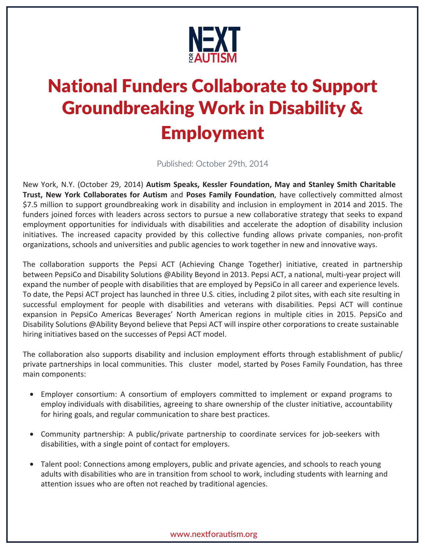

# National Funders Collaborate to Support Groundbreaking Work in Disability & Employment

Published: October 29th, 2014

New York, N.Y. (October 29, 2014) **Autism Speaks, Kessler Foundation, May and Stanley Smith Charitable Trust, New York Collaborates for Autism** and **Poses Family Foundation**, have collectively committed almost \$7.5 million to support groundbreaking work in disability and inclusion in employment in 2014 and 2015. The funders joined forces with leaders across sectors to pursue a new collaborative strategy that seeks to expand employment opportunities for individuals with disabilities and accelerate the adoption of disability inclusion initiatives. The increased capacity provided by this collective funding allows private companies, non-profit organizations, schools and universities and public agencies to work together in new and innovative ways.

The collaboration supports the Pepsi ACT (Achieving Change Together) initiative, created in partnership between PepsiCo and Disability Solutions @Ability Beyond in 2013. Pepsi ACT, a national, multi-year project will expand the number of people with disabilities that are employed by PepsiCo in all career and experience levels. To date, the Pepsi ACT project has launched in three U.S. cities, including 2 pilot sites, with each site resulting in successful employment for people with disabilities and veterans with disabilities. Pepsi ACT will continue expansion in PepsiCo Americas Beverages' North American regions in multiple cities in 2015. PepsiCo and Disability Solutions @Ability Beyond believe that Pepsi ACT will inspire other corporations to create sustainable hiring initiatives based on the successes of Pepsi ACT model.

The collaboration also supports disability and inclusion employment efforts through establishment of public/ private partnerships in local communities. This cluster model, started by Poses Family Foundation, has three main components:

- Employer consortium: A consortium of employers committed to implement or expand programs to employ individuals with disabilities, agreeing to share ownership of the cluster initiative, accountability for hiring goals, and regular communication to share best practices.
- Community partnership: A public/private partnership to coordinate services for job-seekers with disabilities, with a single point of contact for employers.
- Talent pool: Connections among employers, public and private agencies, and schools to reach young adults with disabilities who are in transition from school to work, including students with learning and attention issues who are often not reached by traditional agencies.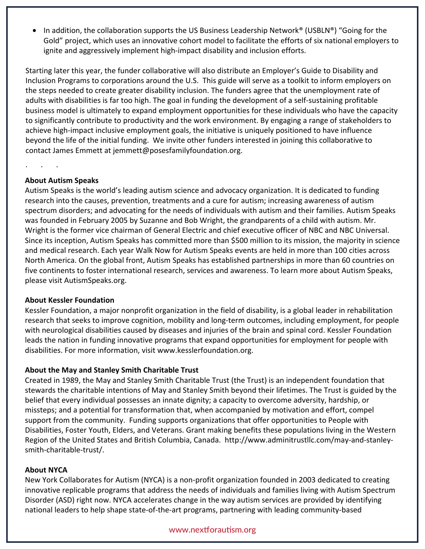• In addition, the collaboration supports the US Business Leadership Network® (USBLN®) "Going for the Gold" project, which uses an innovative cohort model to facilitate the efforts of six national employers to ignite and aggressively implement high-impact disability and inclusion efforts.

Starting later this year, the funder collaborative will also distribute an Employer's Guide to Disability and Inclusion Programs to corporations around the U.S. This guide will serve as a toolkit to inform employers on the steps needed to create greater disability inclusion. The funders agree that the unemployment rate of adults with disabilities is far too high. The goal in funding the development of a self-sustaining profitable business model is ultimately to expand employment opportunities for these individuals who have the capacity to significantly contribute to productivity and the work environment. By engaging a range of stakeholders to achieve high-impact inclusive employment goals, the initiative is uniquely positioned to have influence beyond the life of the initial funding. We invite other funders interested in joining this collaborative to contact James Emmett at jemmett@posesfamilyfoundation.org.

## **About Autism Speaks**

 $\cdot$   $\cdot$   $\cdot$   $\cdot$   $\cdot$ 

Autism Speaks is the world's leading autism science and advocacy organization. It is dedicated to funding research into the causes, prevention, treatments and a cure for autism; increasing awareness of autism spectrum disorders; and advocating for the needs of individuals with autism and their families. Autism Speaks was founded in February 2005 by Suzanne and Bob Wright, the grandparents of a child with autism. Mr. Wright is the former vice chairman of General Electric and chief executive officer of NBC and NBC Universal. Since its inception, Autism Speaks has committed more than \$500 million to its mission, the majority in science and medical research. Each year Walk Now for Autism Speaks events are held in more than 100 cities across North America. On the global front, Autism Speaks has established partnerships in more than 60 countries on five continents to foster international research, services and awareness. To learn more about Autism Speaks, please visit AutismSpeaks.org.

#### **About Kessler Foundation**

Kessler Foundation, a major nonprofit organization in the field of disability, is a global leader in rehabilitation research that seeks to improve cognition, mobility and long-term outcomes, including employment, for people with neurological disabilities caused by diseases and injuries of the brain and spinal cord. Kessler Foundation leads the nation in funding innovative programs that expand opportunities for employment for people with disabilities. For more information, visit www.kesslerfoundation.org.

# **About the May and Stanley Smith Charitable Trust**

Created in 1989, the May and Stanley Smith Charitable Trust (the Trust) is an independent foundation that stewards the charitable intentions of May and Stanley Smith beyond their lifetimes. The Trust is guided by the belief that every individual possesses an innate dignity; a capacity to overcome adversity, hardship, or missteps; and a potential for transformation that, when accompanied by motivation and effort, compel support from the community. Funding supports organizations that offer opportunities to People with Disabilities, Foster Youth, Elders, and Veterans. Grant making benefits these populations living in the Western Region of the United States and British Columbia, Canada. http://www.adminitrustllc.com/may-and-stanleysmith-charitable-trust/.

#### **About NYCA**

New York Collaborates for Autism (NYCA) is a non-profit organization founded in 2003 dedicated to creating innovative replicable programs that address the needs of individuals and families living with Autism Spectrum Disorder (ASD) right now. NYCA accelerates change in the way autism services are provided by identifying national leaders to help shape state-of-the-art programs, partnering with leading community-based

#### www.nextforautism.org